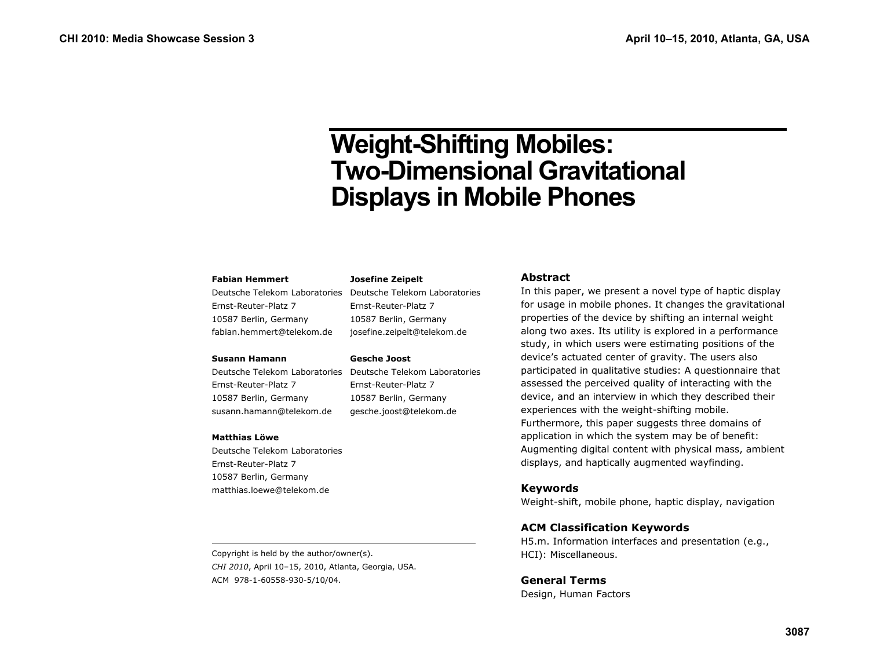# **Weight-Shifting Mobiles: Two-Dimensional Gravitational Displays in Mobile Phones**

#### **Fabian Hemmert**

Deutsche Telekom Laboratories Deutsche Telekom Laboratories Ernst-Reuter-Platz 7 10587 Berlin, Germany fabian.hemmert@telekom.de

#### **Susann Hamann**

Ernst-Reuter-Platz 7 10587 Berlin, Germany susann.hamann@telekom.de

#### **Matthias Löwe**

Deutsche Telekom Laboratories Ernst-Reuter-Platz 7 10587 Berlin, Germany matthias.loewe@telekom.de

10587 Berlin, Germany josefine.zeipelt@telekom.de

#### **Gesche Joost**

**Josefine Zeipelt** 

Ernst-Reuter-Platz 7

Deutsche Telekom Laboratories Deutsche Telekom Laboratories Ernst-Reuter-Platz 7 10587 Berlin, Germany gesche.joost@telekom.de

# **Abstract**

In this paper, we present a novel type of haptic display for usage in mobile phones. It changes the gravitational properties of the device by shifting an internal weight along two axes. Its utility is explored in a performance study, in which users were estimating positions of the device's actuated center of gravity. The users also participated in qualitative studies: A questionnaire that assessed the perceived quality of interacting with the device, and an interview in which they described their experiences with the weight-shifting mobile. Furthermore, this paper suggests three domains of application in which the system may be of benefit: Augmenting digital content with physical mass, ambient displays, and haptically augmented wayfinding.

#### **Keywords**

Weight-shift, mobile phone, haptic display, navigation

#### **ACM Classification Keywords**

H5.m. Information interfaces and presentation (e.g., HCI): Miscellaneous.

#### **General Terms**

Design, Human Factors

Copyright is held by the author/owner(s). *CHI 2010*, April 10–15, 2010, Atlanta, Georgia, USA. ACM 978-1-60558-930-5/10/04.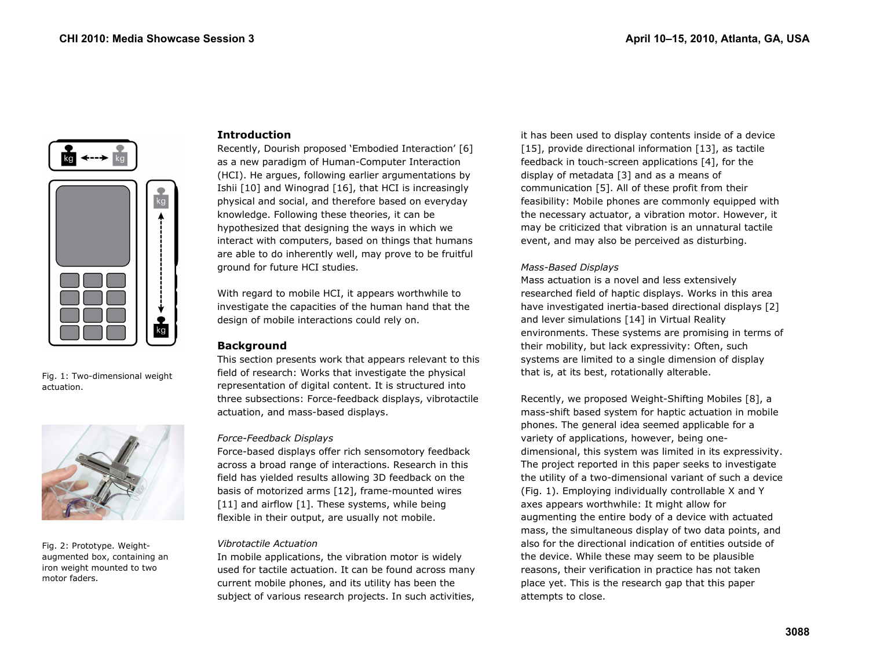

Fig. 1: Two-dimensional weight actuation.



Fig. 2: Prototype. Weightaugmented box, containing an iron weight mounted to two motor faders.

# **Introduction**

Recently, Dourish proposed 'Embodied Interaction' [6] as a new paradigm of Human-Computer Interaction (HCI). He argues, following earlier argumentations by Ishii [10] and Winograd [16], that HCI is increasingly physical and social, and therefore based on everyday knowledge. Following these theories, it can be hypothesized that designing the ways in which we interact with computers, based on things that humans are able to do inherently well, may prove to be fruitful ground for future HCI studies.

With regard to mobile HCI, it appears worthwhile to investigate the capacities of the human hand that the design of mobile interactions could rely on.

# **Background**

This section presents work that appears relevant to this field of research: Works that investigate the physical representation of digital content. It is structured into three subsections: Force-feedback displays, vibrotactile actuation, and mass-based displays.

#### *Force-Feedback Displays*

Force-based displays offer rich sensomotory feedback across a broad range of interactions. Research in this field has yielded results allowing 3D feedback on the basis of motorized arms [12], frame-mounted wires [11] and airflow [1]. These systems, while being flexible in their output, are usually not mobile.

#### *Vibrotactile Actuation*

In mobile applications, the vibration motor is widely used for tactile actuation. It can be found across many current mobile phones, and its utility has been the subject of various research projects. In such activities,

it has been used to display contents inside of a device [15], provide directional information [13], as tactile feedback in touch-screen applications [4], for the display of metadata [3] and as a means of communication [5]. All of these profit from their feasibility: Mobile phones are commonly equipped with the necessary actuator, a vibration motor. However, it may be criticized that vibration is an unnatural tactile event, and may also be perceived as disturbing.

#### *Mass-Based Displays*

Mass actuation is a novel and less extensively researched field of haptic displays. Works in this area have investigated inertia-based directional displays [2] and lever simulations [14] in Virtual Reality environments. These systems are promising in terms of their mobility, but lack expressivity: Often, such systems are limited to a single dimension of display that is, at its best, rotationally alterable.

Recently, we proposed Weight-Shifting Mobiles [8], a mass-shift based system for haptic actuation in mobile phones. The general idea seemed applicable for a variety of applications, however, being onedimensional, this system was limited in its expressivity. The project reported in this paper seeks to investigate the utility of a two-dimensional variant of such a device (Fig. 1). Employing individually controllable X and Y axes appears worthwhile: It might allow for augmenting the entire body of a device with actuated mass, the simultaneous display of two data points, and also for the directional indication of entities outside of the device. While these may seem to be plausible reasons, their verification in practice has not taken place yet. This is the research gap that this paper attempts to close.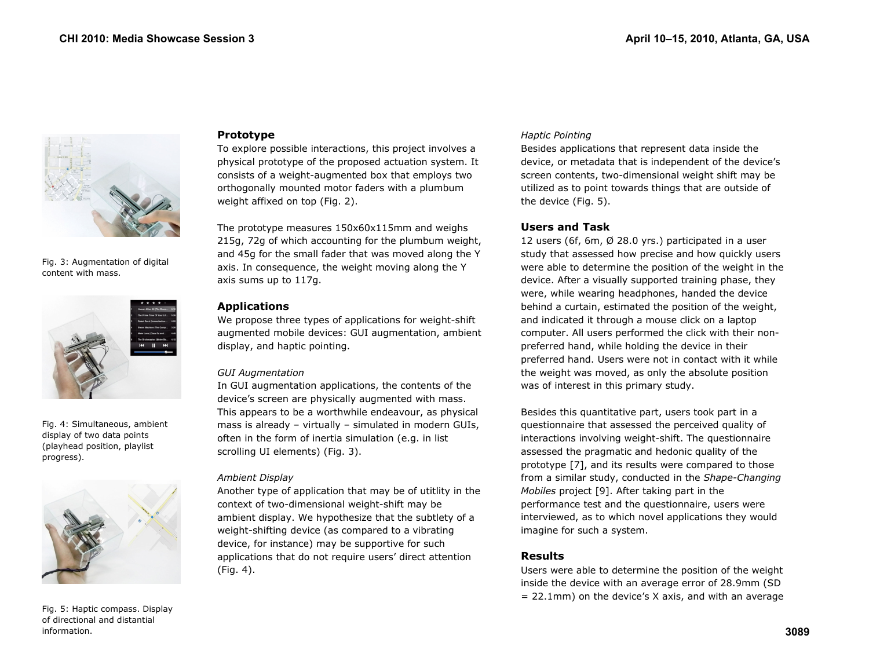

Fig. 3: Augmentation of digital content with mass.



Fig. 4: Simultaneous, ambient display of two data points (playhead position, playlist progress).



Fig. 5: Haptic compass. Display of directional and distantial information.

#### **Prototype**

To explore possible interactions, this project involves a physical prototype of the proposed actuation system. It consists of a weight-augmented box that employs two orthogonally mounted motor faders with a plumbum weight affixed on top (Fig. 2).

The prototype measures 150x60x115mm and weighs 215g, 72g of which accounting for the plumbum weight, and 45g for the small fader that was moved along the Y axis. In consequence, the weight moving along the Y axis sums up to 117g.

#### **Applications**

We propose three types of applications for weight-shift augmented mobile devices: GUI augmentation, ambient display, and haptic pointing.

#### *GUI Augmentation*

In GUI augmentation applications, the contents of the device's screen are physically augmented with mass. This appears to be a worthwhile endeavour, as physical mass is already – virtually – simulated in modern GUIs, often in the form of inertia simulation (e.g. in list scrolling UI elements) (Fig. 3).

#### *Ambient Display*

Another type of application that may be of utitlity in the context of two-dimensional weight-shift may be ambient display. We hypothesize that the subtlety of a weight-shifting device (as compared to a vibrating device, for instance) may be supportive for such applications that do not require users' direct attention (Fig. 4).

#### *Haptic Pointing*

Besides applications that represent data inside the device, or metadata that is independent of the device's screen contents, two-dimensional weight shift may be utilized as to point towards things that are outside of the device (Fig. 5).

# **Users and Task**

12 users (6f, 6m, Ø 28.0 yrs.) participated in a user study that assessed how precise and how quickly users were able to determine the position of the weight in the device. After a visually supported training phase, they were, while wearing headphones, handed the device behind a curtain, estimated the position of the weight, and indicated it through a mouse click on a laptop computer. All users performed the click with their nonpreferred hand, while holding the device in their preferred hand. Users were not in contact with it while the weight was moved, as only the absolute position was of interest in this primary study.

Besides this quantitative part, users took part in a questionnaire that assessed the perceived quality of interactions involving weight-shift. The questionnaire assessed the pragmatic and hedonic quality of the prototype [7], and its results were compared to those from a similar study, conducted in the *Shape-Changing Mobiles* project [9]. After taking part in the performance test and the questionnaire, users were interviewed, as to which novel applications they would imagine for such a system.

# **Results**

Users were able to determine the position of the weight inside the device with an average error of 28.9mm (SD  $= 22.1$ mm) on the device's X axis, and with an average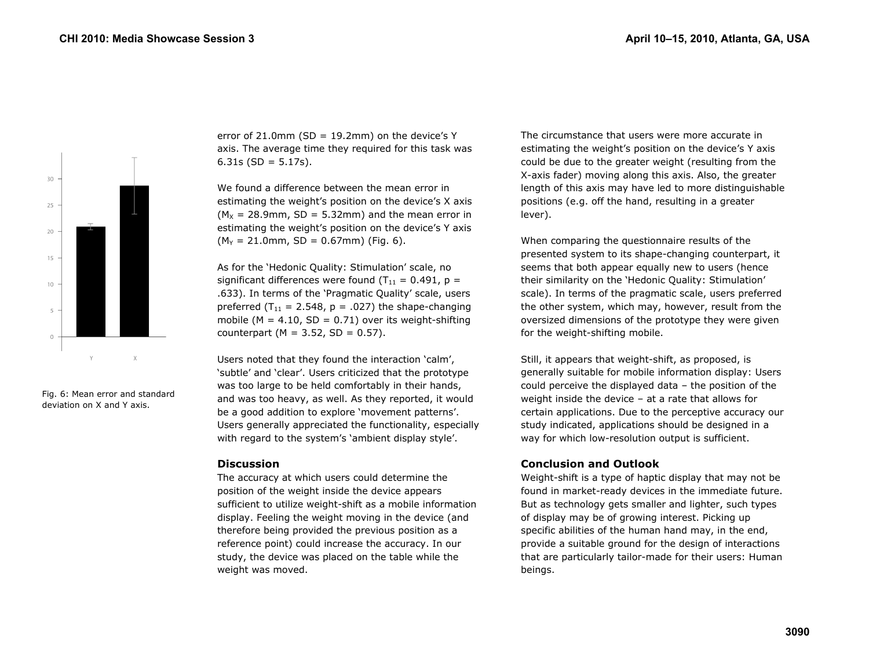

Fig. 6: Mean error and standard deviation on X and Y axis.

error of 21.0mm (SD =  $19.2$ mm) on the device's Y axis. The average time they required for this task was 6.31s ( $SD = 5.17s$ ).

We found a difference between the mean error in estimating the weight's position on the device's X axis  $(M_x = 28.9$ mm, SD = 5.32mm) and the mean error in estimating the weight's position on the device's Y axis  $(M<sub>Y</sub> = 21.0$ mm, SD = 0.67mm) (Fig. 6).

As for the 'Hedonic Quality: Stimulation' scale, no significant differences were found  $(T_{11} = 0.491, p =$ .633). In terms of the 'Pragmatic Quality' scale, users preferred ( $T_{11}$  = 2.548, p = .027) the shape-changing mobile ( $M = 4.10$ ,  $SD = 0.71$ ) over its weight-shifting counterpart ( $M = 3.52$ ,  $SD = 0.57$ ).

Users noted that they found the interaction 'calm', 'subtle' and 'clear'. Users criticized that the prototype was too large to be held comfortably in their hands, and was too heavy, as well. As they reported, it would be a good addition to explore 'movement patterns'. Users generally appreciated the functionality, especially with regard to the system's 'ambient display style'.

#### **Discussion**

The accuracy at which users could determine the position of the weight inside the device appears sufficient to utilize weight-shift as a mobile information display. Feeling the weight moving in the device (and therefore being provided the previous position as a reference point) could increase the accuracy. In our study, the device was placed on the table while the weight was moved.

The circumstance that users were more accurate in estimating the weight's position on the device's Y axis could be due to the greater weight (resulting from the X-axis fader) moving along this axis. Also, the greater length of this axis may have led to more distinguishable positions (e.g. off the hand, resulting in a greater lever).

When comparing the questionnaire results of the presented system to its shape-changing counterpart, it seems that both appear equally new to users (hence their similarity on the 'Hedonic Quality: Stimulation' scale). In terms of the pragmatic scale, users preferred the other system, which may, however, result from the oversized dimensions of the prototype they were given for the weight-shifting mobile.

Still, it appears that weight-shift, as proposed, is generally suitable for mobile information display: Users could perceive the displayed data – the position of the weight inside the device – at a rate that allows for certain applications. Due to the perceptive accuracy our study indicated, applications should be designed in a way for which low-resolution output is sufficient.

#### **Conclusion and Outlook**

Weight-shift is a type of haptic display that may not be found in market-ready devices in the immediate future. But as technology gets smaller and lighter, such types of display may be of growing interest. Picking up specific abilities of the human hand may, in the end, provide a suitable ground for the design of interactions that are particularly tailor-made for their users: Human beings.